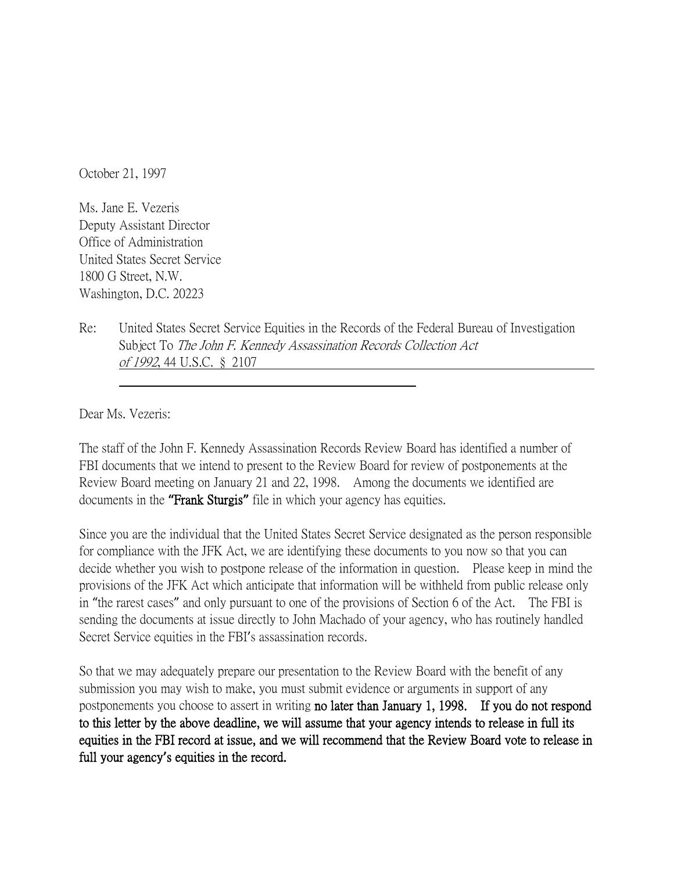October 21, 1997

Ms. Jane E. Vezeris Deputy Assistant Director Office of Administration United States Secret Service 1800 G Street, N.W. Washington, D.C. 20223

Re: United States Secret Service Equities in the Records of the Federal Bureau of Investigation Subject To The John F. Kennedy Assassination Records Collection Act of 1992, 44 U.S.C. § 2107

Dear Ms. Vezeris:

The staff of the John F. Kennedy Assassination Records Review Board has identified a number of FBI documents that we intend to present to the Review Board for review of postponements at the Review Board meeting on January 21 and 22, 1998. Among the documents we identified are documents in the **"**Frank Sturgis**"** file in which your agency has equities.

Since you are the individual that the United States Secret Service designated as the person responsible for compliance with the JFK Act, we are identifying these documents to you now so that you can decide whether you wish to postpone release of the information in question. Please keep in mind the provisions of the JFK Act which anticipate that information will be withheld from public release only in "the rarest cases" and only pursuant to one of the provisions of Section 6 of the Act. The FBI is sending the documents at issue directly to John Machado of your agency, who has routinely handled Secret Service equities in the FBI's assassination records.

So that we may adequately prepare our presentation to the Review Board with the benefit of any submission you may wish to make, you must submit evidence or arguments in support of any postponements you choose to assert in writing no later than January 1, 1998. If you do not respond to this letter by the above deadline, we will assume that your agency intends to release in full its equities in the FBI record at issue, and we will recommend that the Review Board vote to release in full your agency**'**s equities in the record.